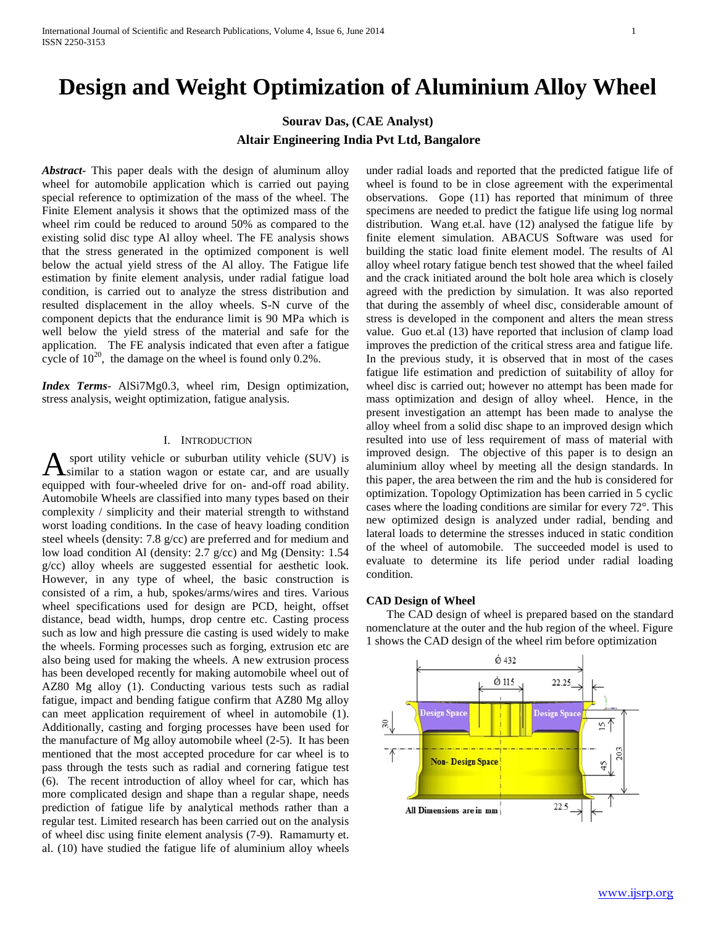# **Design and Weight Optimization of Aluminium Alloy Wheel**

# **Sourav Das, (CAE Analyst) Altair Engineering India Pvt Ltd, Bangalore**

*Abstract***-** This paper deals with the design of aluminum alloy wheel for automobile application which is carried out paying special reference to optimization of the mass of the wheel. The Finite Element analysis it shows that the optimized mass of the wheel rim could be reduced to around 50% as compared to the existing solid disc type Al alloy wheel. The FE analysis shows that the stress generated in the optimized component is well below the actual yield stress of the Al alloy. The Fatigue life estimation by finite element analysis, under radial fatigue load condition, is carried out to analyze the stress distribution and resulted displacement in the alloy wheels. S-N curve of the component depicts that the endurance limit is 90 MPa which is well below the yield stress of the material and safe for the application. The FE analysis indicated that even after a fatigue cycle of  $10^{20}$ , the damage on the wheel is found only 0.2%.

*Index Terms*- AlSi7Mg0.3, wheel rim, Design optimization, stress analysis, weight optimization, fatigue analysis.

#### I. INTRODUCTION

sport utility vehicle or suburban utility vehicle (SUV) is **A** sport utility vehicle or suburban utility vehicle (SUV) is similar to a station wagon or estate car, and are usually equipped with four-wheeled drive for on- and-off road ability. Automobile Wheels are classified into many types based on their complexity / simplicity and their material strength to withstand worst loading conditions. In the case of heavy loading condition steel wheels (density: 7.8 g/cc) are preferred and for medium and low load condition Al (density: 2.7 g/cc) and Mg (Density: 1.54 g/cc) alloy wheels are suggested essential for aesthetic look. However, in any type of wheel, the basic construction is consisted of a rim, a hub, spokes/arms/wires and tires. Various wheel specifications used for design are PCD, height, offset distance, bead width, humps, drop centre etc. Casting process such as low and high pressure die casting is used widely to make the wheels. Forming processes such as forging, extrusion etc are also being used for making the wheels. A new extrusion process has been developed recently for making automobile wheel out of AZ80 Mg alloy (1). Conducting various tests such as radial fatigue, impact and bending fatigue confirm that AZ80 Mg alloy can meet application requirement of wheel in automobile (1). Additionally, casting and forging processes have been used for the manufacture of Mg alloy automobile wheel (2-5). It has been mentioned that the most accepted procedure for car wheel is to pass through the tests such as radial and cornering fatigue test (6). The recent introduction of alloy wheel for car, which has more complicated design and shape than a regular shape, needs prediction of fatigue life by analytical methods rather than a regular test. Limited research has been carried out on the analysis of wheel disc using finite element analysis (7-9). Ramamurty et. al. (10) have studied the fatigue life of aluminium alloy wheels

under radial loads and reported that the predicted fatigue life of wheel is found to be in close agreement with the experimental observations. Gope (11) has reported that minimum of three specimens are needed to predict the fatigue life using log normal distribution. Wang et.al. have (12) analysed the fatigue life by finite element simulation. ABACUS Software was used for building the static load finite element model. The results of Al alloy wheel rotary fatigue bench test showed that the wheel failed and the crack initiated around the bolt hole area which is closely agreed with the prediction by simulation. It was also reported that during the assembly of wheel disc, considerable amount of stress is developed in the component and alters the mean stress value. Guo et.al (13) have reported that inclusion of clamp load improves the prediction of the critical stress area and fatigue life. In the previous study, it is observed that in most of the cases fatigue life estimation and prediction of suitability of alloy for wheel disc is carried out; however no attempt has been made for mass optimization and design of alloy wheel. Hence, in the present investigation an attempt has been made to analyse the alloy wheel from a solid disc shape to an improved design which resulted into use of less requirement of mass of material with improved design. The objective of this paper is to design an aluminium alloy wheel by meeting all the design standards. In this paper, the area between the rim and the hub is considered for optimization. Topology Optimization has been carried in 5 cyclic cases where the loading conditions are similar for every 72°. This new optimized design is analyzed under radial, bending and lateral loads to determine the stresses induced in static condition of the wheel of automobile. The succeeded model is used to evaluate to determine its life period under radial loading condition.

#### **CAD Design of Wheel**

 The CAD design of wheel is prepared based on the standard nomenclature at the outer and the hub region of the wheel. Figure 1 shows the CAD design of the wheel rim before optimization

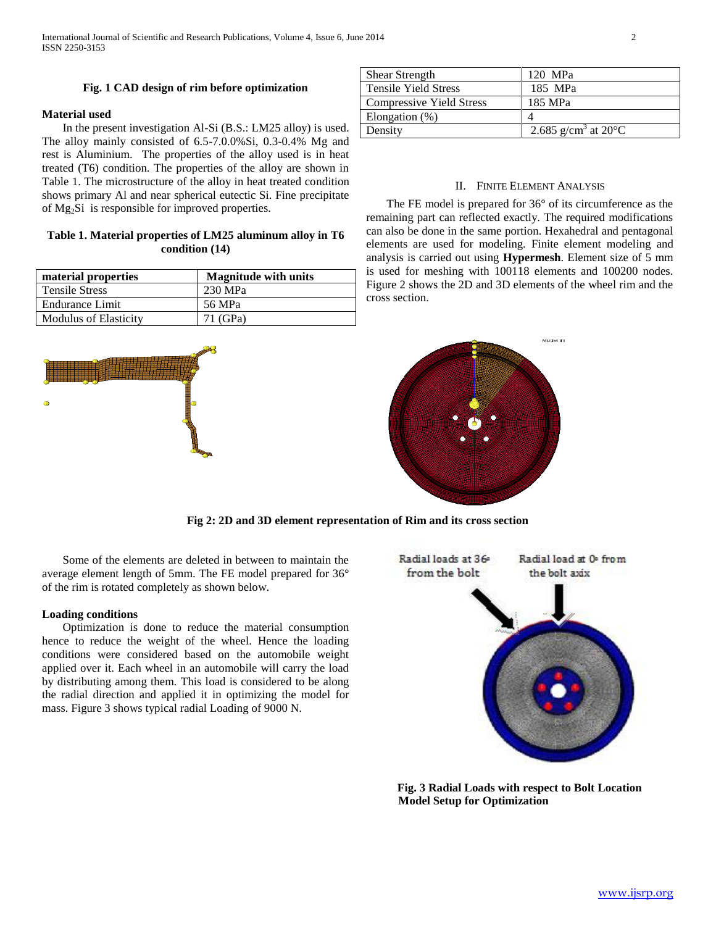# **Fig. 1 CAD design of rim before optimization**

## **Material used**

 In the present investigation Al-Si (B.S.: LM25 alloy) is used. The alloy mainly consisted of 6.5-7.0.0%Si, 0.3-0.4% Mg and rest is Aluminium. The properties of the alloy used is in heat treated (T6) condition. The properties of the alloy are shown in Table 1. The microstructure of the alloy in heat treated condition shows primary Al and near spherical eutectic Si. Fine precipitate of Mg2Si is responsible for improved properties.

# **Table 1. Material properties of LM25 aluminum alloy in T6 condition (14)**

| material properties          | <b>Magnitude with units</b> |
|------------------------------|-----------------------------|
| <b>Tensile Stress</b>        | 230 MPa                     |
| Endurance Limit              | 56 MPa                      |
| <b>Modulus of Elasticity</b> | 71 (GPa)                    |



| <b>Shear Strength</b>           | 120 MPa                                    |
|---------------------------------|--------------------------------------------|
| <b>Tensile Yield Stress</b>     | 185 MPa                                    |
| <b>Compressive Yield Stress</b> | 185 MPa                                    |
| Elongation $(\%)$               |                                            |
| Density                         | 2.685 g/cm <sup>3</sup> at 20 $^{\circ}$ C |

## II. FINITE ELEMENT ANALYSIS

 The FE model is prepared for 36° of its circumference as the remaining part can reflected exactly. The required modifications can also be done in the same portion. Hexahedral and pentagonal elements are used for modeling. Finite element modeling and analysis is carried out using **Hypermesh**. Element size of 5 mm is used for meshing with 100118 elements and 100200 nodes. Figure 2 shows the 2D and 3D elements of the wheel rim and the cross section.



**Fig 2: 2D and 3D element representation of Rim and its cross section**

 Some of the elements are deleted in between to maintain the average element length of 5mm. The FE model prepared for 36° of the rim is rotated completely as shown below.

## **Loading conditions**

 Optimization is done to reduce the material consumption hence to reduce the weight of the wheel. Hence the loading conditions were considered based on the automobile weight applied over it. Each wheel in an automobile will carry the load by distributing among them. This load is considered to be along the radial direction and applied it in optimizing the model for mass. Figure 3 shows typical radial Loading of 9000 N.



**Fig. 3 Radial Loads with respect to Bolt Location Model Setup for Optimization**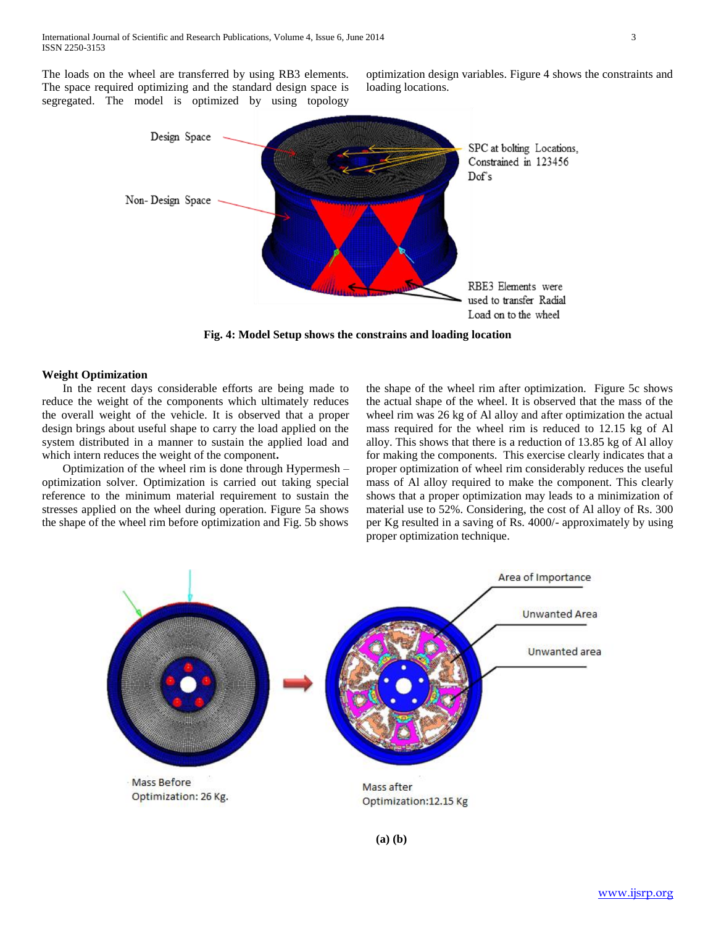The loads on the wheel are transferred by using RB3 elements. The space required optimizing and the standard design space is segregated. The model is optimized by using topology

optimization design variables. Figure 4 shows the constraints and loading locations.



**Fig. 4: Model Setup shows the constrains and loading location**

#### **Weight Optimization**

 In the recent days considerable efforts are being made to reduce the weight of the components which ultimately reduces the overall weight of the vehicle. It is observed that a proper design brings about useful shape to carry the load applied on the system distributed in a manner to sustain the applied load and which intern reduces the weight of the component**.** 

 Optimization of the wheel rim is done through Hypermesh – optimization solver. Optimization is carried out taking special reference to the minimum material requirement to sustain the stresses applied on the wheel during operation. Figure 5a shows the shape of the wheel rim before optimization and Fig. 5b shows

the shape of the wheel rim after optimization. Figure 5c shows the actual shape of the wheel. It is observed that the mass of the wheel rim was 26 kg of Al alloy and after optimization the actual mass required for the wheel rim is reduced to 12.15 kg of Al alloy. This shows that there is a reduction of 13.85 kg of Al alloy for making the components. This exercise clearly indicates that a proper optimization of wheel rim considerably reduces the useful mass of Al alloy required to make the component. This clearly shows that a proper optimization may leads to a minimization of material use to 52%. Considering, the cost of Al alloy of Rs. 300 per Kg resulted in a saving of Rs. 4000/- approximately by using proper optimization technique.

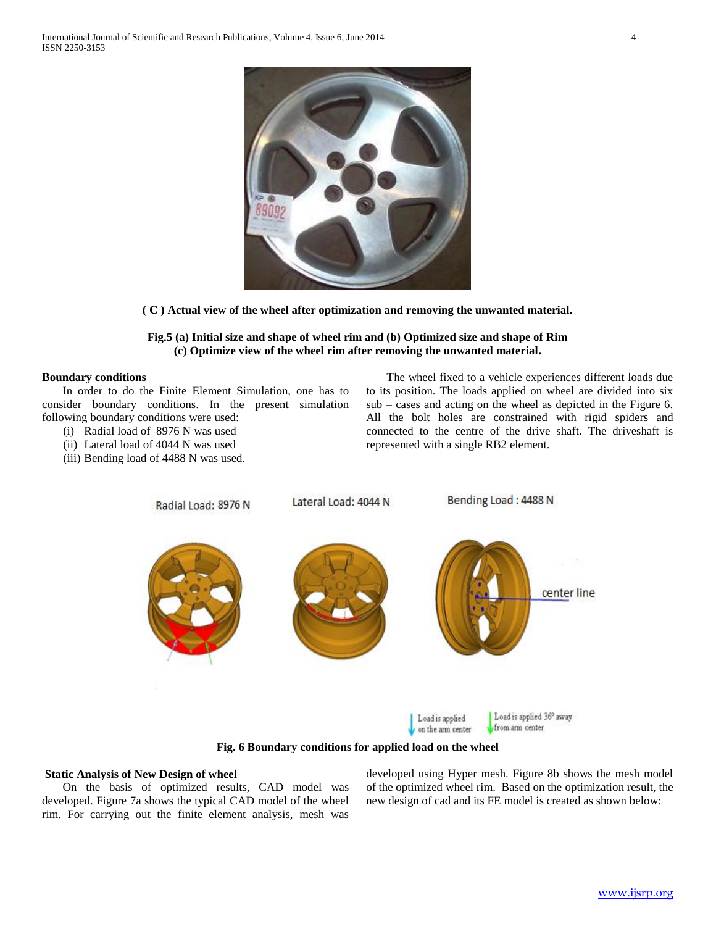

**( C ) Actual view of the wheel after optimization and removing the unwanted material.**

## **Fig.5 (a) Initial size and shape of wheel rim and (b) Optimized size and shape of Rim (c) Optimize view of the wheel rim after removing the unwanted material.**

#### **Boundary conditions**

 In order to do the Finite Element Simulation, one has to consider boundary conditions. In the present simulation following boundary conditions were used:

- (i) Radial load of 8976 N was used
- (ii) Lateral load of 4044 N was used
- (iii) Bending load of 4488 N was used.

 The wheel fixed to a vehicle experiences different loads due to its position. The loads applied on wheel are divided into six sub – cases and acting on the wheel as depicted in the Figure 6. All the bolt holes are constrained with rigid spiders and connected to the centre of the drive shaft. The driveshaft is represented with a single RB2 element.



**Fig. 6 Boundary conditions for applied load on the wheel**

#### **Static Analysis of New Design of wheel**

 On the basis of optimized results, CAD model was developed. Figure 7a shows the typical CAD model of the wheel rim. For carrying out the finite element analysis, mesh was developed using Hyper mesh. Figure 8b shows the mesh model of the optimized wheel rim. Based on the optimization result, the new design of cad and its FE model is created as shown below: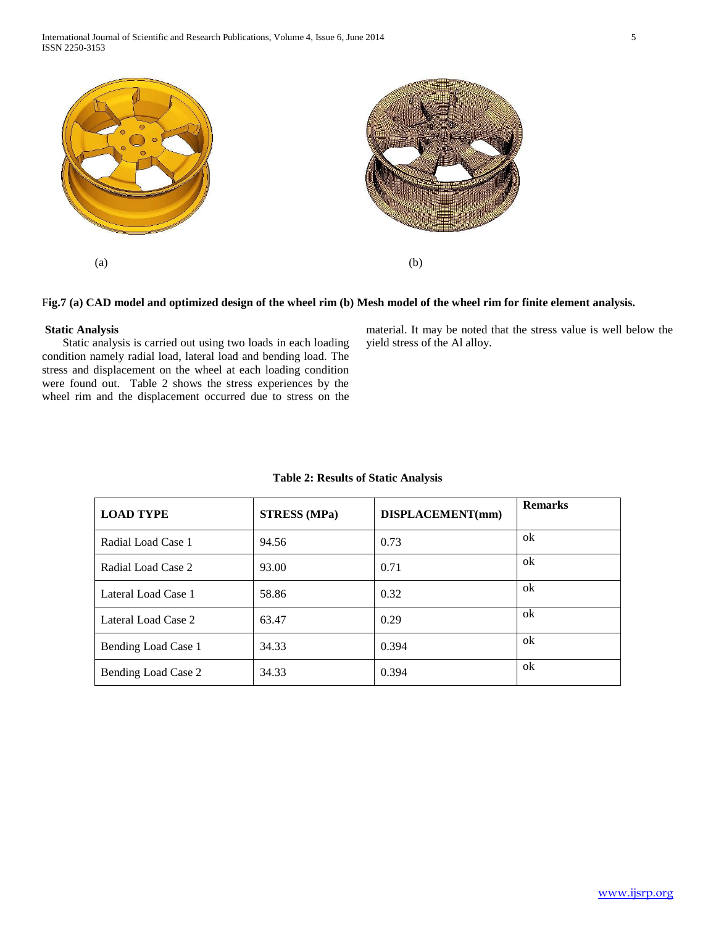



## F**ig.7 (a) CAD model and optimized design of the wheel rim (b) Mesh model of the wheel rim for finite element analysis.**

## **Static Analysis**

 Static analysis is carried out using two loads in each loading condition namely radial load, lateral load and bending load. The stress and displacement on the wheel at each loading condition were found out. Table 2 shows the stress experiences by the wheel rim and the displacement occurred due to stress on the material. It may be noted that the stress value is well below the yield stress of the Al alloy.

| <b>LOAD TYPE</b>    | <b>STRESS</b> (MPa) | DISPLACEMENT(mm) | <b>Remarks</b> |
|---------------------|---------------------|------------------|----------------|
| Radial Load Case 1  | 94.56               | 0.73             | ok             |
| Radial Load Case 2  | 93.00               | 0.71             | ok             |
| Lateral Load Case 1 | 58.86               | 0.32             | ok             |
| Lateral Load Case 2 | 63.47               | 0.29             | ok             |
| Bending Load Case 1 | 34.33               | 0.394            | ok             |
| Bending Load Case 2 | 34.33               | 0.394            | ok             |
|                     |                     |                  |                |

#### **Table 2: Results of Static Analysis**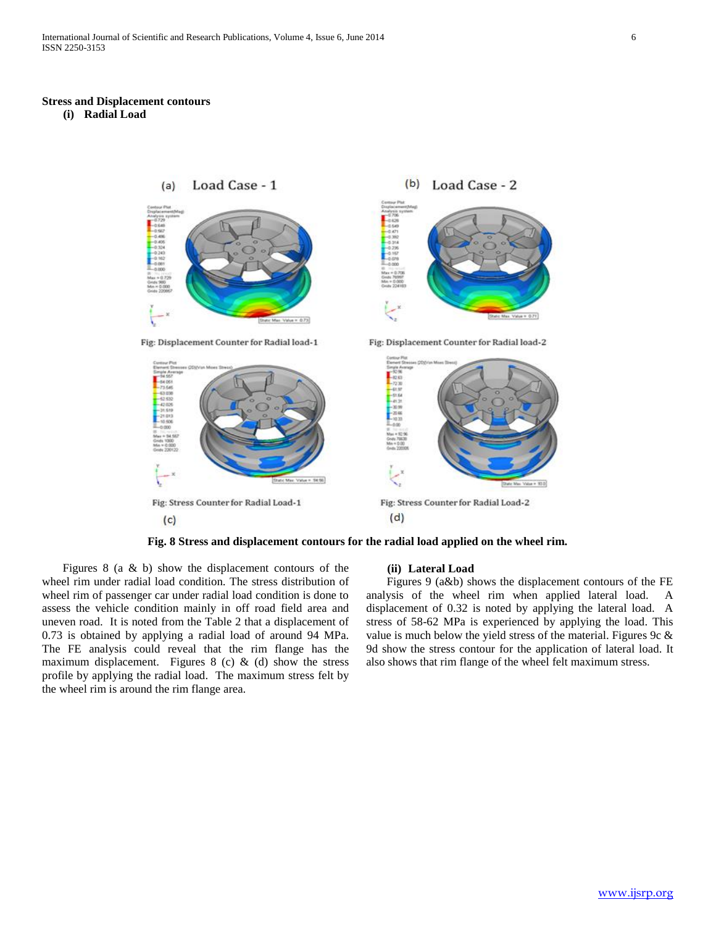#### **Stress and Displacement contours**

**(i) Radial Load** 



**Fig. 8 Stress and displacement contours for the radial load applied on the wheel rim.**

Figures 8 (a  $\&$  b) show the displacement contours of the wheel rim under radial load condition. The stress distribution of wheel rim of passenger car under radial load condition is done to assess the vehicle condition mainly in off road field area and uneven road. It is noted from the Table 2 that a displacement of 0.73 is obtained by applying a radial load of around 94 MPa. The FE analysis could reveal that the rim flange has the maximum displacement. Figures 8 (c)  $\&$  (d) show the stress profile by applying the radial load. The maximum stress felt by the wheel rim is around the rim flange area.

#### **(ii) Lateral Load**

 Figures 9 (a&b) shows the displacement contours of the FE analysis of the wheel rim when applied lateral load. A displacement of 0.32 is noted by applying the lateral load. A stress of 58-62 MPa is experienced by applying the load. This value is much below the yield stress of the material. Figures 9c  $\&$ 9d show the stress contour for the application of lateral load. It also shows that rim flange of the wheel felt maximum stress.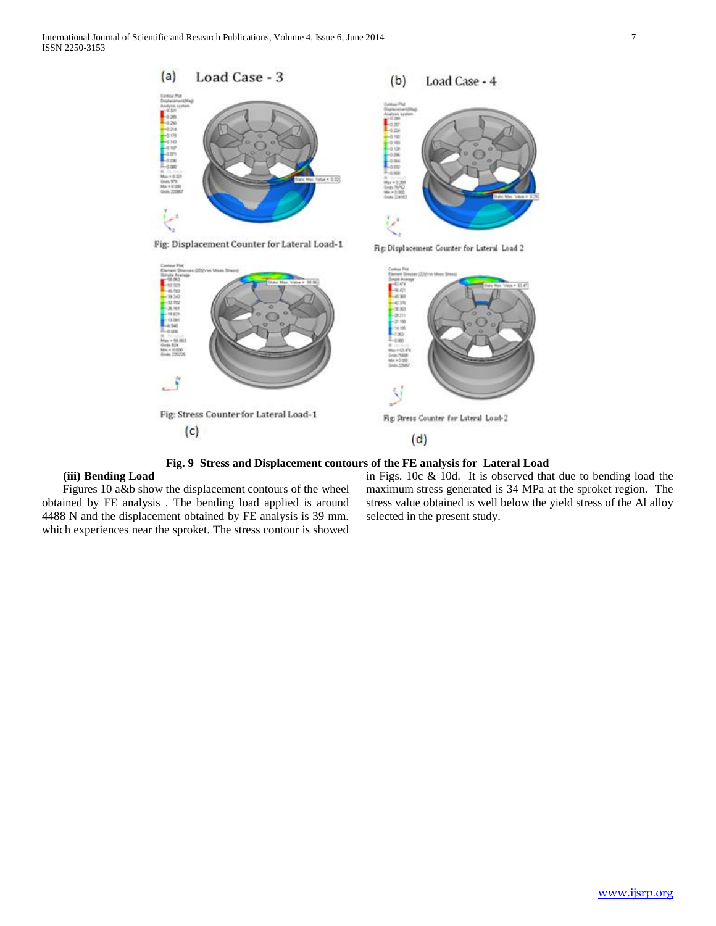



**Fig. 9 Stress and Displacement contours of the FE analysis for Lateral Load**

# **(iii) Bending Load**

 Figures 10 a&b show the displacement contours of the wheel obtained by FE analysis . The bending load applied is around 4488 N and the displacement obtained by FE analysis is 39 mm. which experiences near the sproket. The stress contour is showed

in Figs. 10c & 10d. It is observed that due to bending load the maximum stress generated is 34 MPa at the sproket region. The stress value obtained is well below the yield stress of the Al alloy selected in the present study.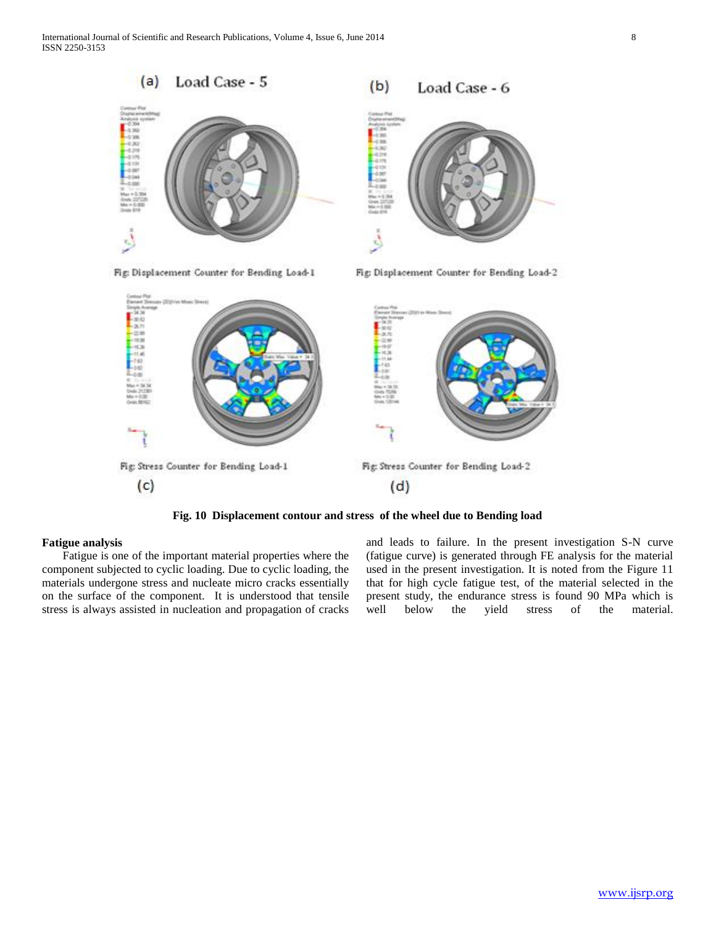International Journal of Scientific and Research Publications, Volume 4, Issue 6, June 2014 8 ISSN 2250-3153



**Fig. 10 Displacement contour and stress of the wheel due to Bending load**

## **Fatigue analysis**

 Fatigue is one of the important material properties where the component subjected to cyclic loading. Due to cyclic loading, the materials undergone stress and nucleate micro cracks essentially on the surface of the component. It is understood that tensile stress is always assisted in nucleation and propagation of cracks

and leads to failure. In the present investigation S-N curve (fatigue curve) is generated through FE analysis for the material used in the present investigation. It is noted from the Figure 11 that for high cycle fatigue test, of the material selected in the present study, the endurance stress is found 90 MPa which is well below the yield stress of the material.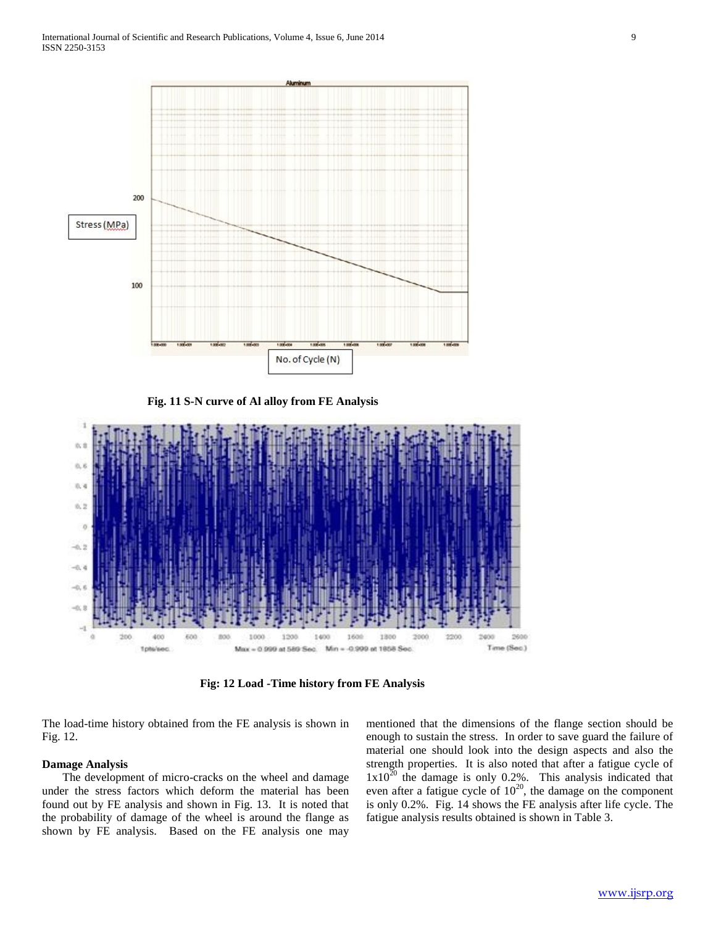

 **Fig. 11 S-N curve of Al alloy from FE Analysis**



**Fig: 12 Load -Time history from FE Analysis**

The load-time history obtained from the FE analysis is shown in Fig. 12.

#### **Damage Analysis**

 The development of micro-cracks on the wheel and damage under the stress factors which deform the material has been found out by FE analysis and shown in Fig. 13. It is noted that the probability of damage of the wheel is around the flange as shown by FE analysis. Based on the FE analysis one may mentioned that the dimensions of the flange section should be enough to sustain the stress. In order to save guard the failure of material one should look into the design aspects and also the strength properties. It is also noted that after a fatigue cycle of  $1x10^{20}$  the damage is only 0.2%. This analysis indicated that even after a fatigue cycle of  $10^{20}$ , the damage on the component is only 0.2%. Fig. 14 shows the FE analysis after life cycle. The fatigue analysis results obtained is shown in Table 3.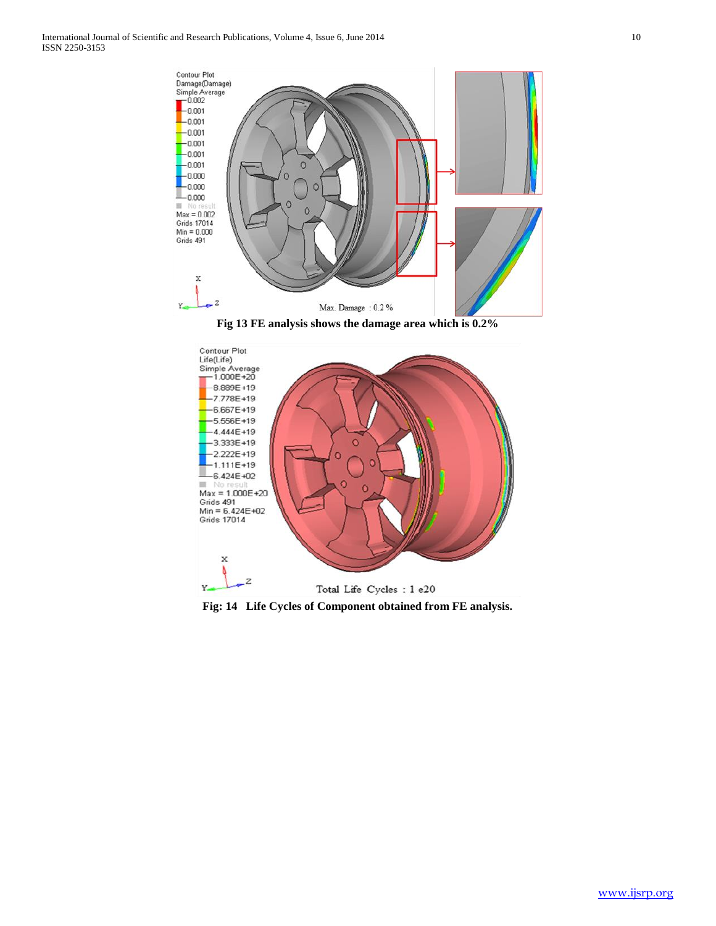

**Fig 13 FE analysis shows the damage area which is 0.2%**



**Fig: 14 Life Cycles of Component obtained from FE analysis.**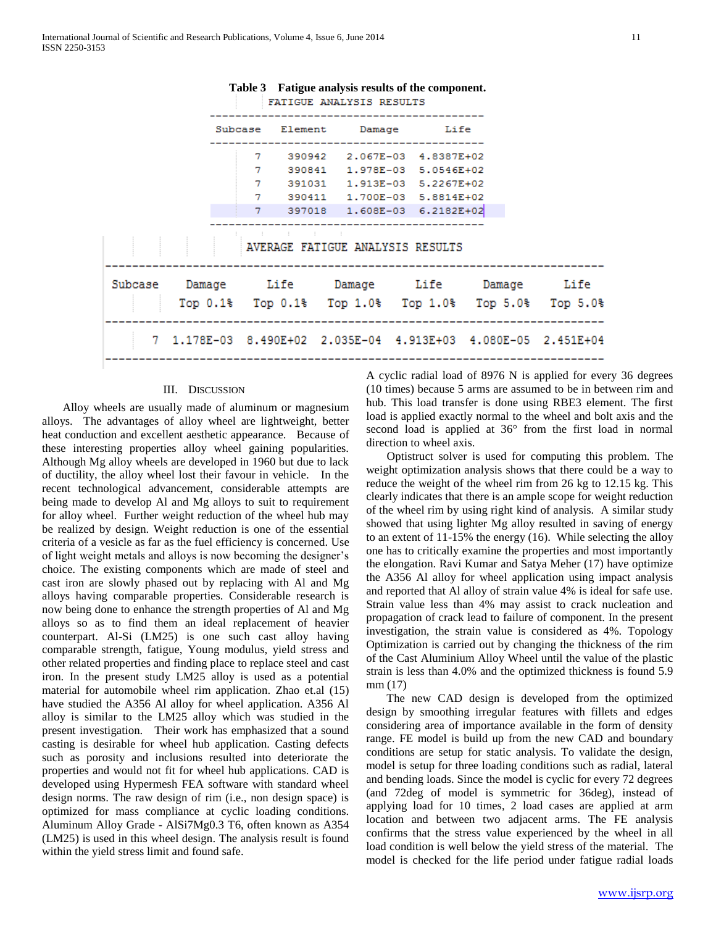

# **Table 3 Fatigue analysis results of the component.**

### III. DISCUSSION

 Alloy wheels are usually made of aluminum or magnesium alloys. The advantages of alloy wheel are lightweight, better heat conduction and excellent aesthetic appearance. Because of these interesting properties alloy wheel gaining popularities. Although Mg alloy wheels are developed in 1960 but due to lack of ductility, the alloy wheel lost their favour in vehicle. In the recent technological advancement, considerable attempts are being made to develop Al and Mg alloys to suit to requirement for alloy wheel. Further weight reduction of the wheel hub may be realized by design. Weight reduction is one of the essential criteria of a vesicle as far as the fuel efficiency is concerned. Use of light weight metals and alloys is now becoming the designer's choice. The existing components which are made of steel and cast iron are slowly phased out by replacing with Al and Mg alloys having comparable properties. Considerable research is now being done to enhance the strength properties of Al and Mg alloys so as to find them an ideal replacement of heavier counterpart. Al-Si (LM25) is one such cast alloy having comparable strength, fatigue, Young modulus, yield stress and other related properties and finding place to replace steel and cast iron. In the present study LM25 alloy is used as a potential material for automobile wheel rim application. Zhao et.al (15) have studied the A356 Al alloy for wheel application. A356 Al alloy is similar to the LM25 alloy which was studied in the present investigation. Their work has emphasized that a sound casting is desirable for wheel hub application. Casting defects such as porosity and inclusions resulted into deteriorate the properties and would not fit for wheel hub applications. CAD is developed using Hypermesh FEA software with standard wheel design norms. The raw design of rim (i.e., non design space) is optimized for mass compliance at cyclic loading conditions. Aluminum Alloy Grade - AlSi7Mg0.3 T6, often known as A354 (LM25) is used in this wheel design. The analysis result is found within the yield stress limit and found safe.

A cyclic radial load of 8976 N is applied for every 36 degrees (10 times) because 5 arms are assumed to be in between rim and hub. This load transfer is done using RBE3 element. The first load is applied exactly normal to the wheel and bolt axis and the second load is applied at 36° from the first load in normal direction to wheel axis.

 Optistruct solver is used for computing this problem. The weight optimization analysis shows that there could be a way to reduce the weight of the wheel rim from 26 kg to 12.15 kg. This clearly indicates that there is an ample scope for weight reduction of the wheel rim by using right kind of analysis. A similar study showed that using lighter Mg alloy resulted in saving of energy to an extent of 11-15% the energy (16). While selecting the alloy one has to critically examine the properties and most importantly the elongation. Ravi Kumar and Satya Meher (17) have optimize the A356 Al alloy for wheel application using impact analysis and reported that Al alloy of strain value 4% is ideal for safe use. Strain value less than 4% may assist to crack nucleation and propagation of crack lead to failure of component. In the present investigation, the strain value is considered as 4%. Topology Optimization is carried out by changing the thickness of the rim of the Cast Aluminium Alloy Wheel until the value of the plastic strain is less than 4.0% and the optimized thickness is found 5.9 mm (17)

 The new CAD design is developed from the optimized design by smoothing irregular features with fillets and edges considering area of importance available in the form of density range. FE model is build up from the new CAD and boundary conditions are setup for static analysis. To validate the design, model is setup for three loading conditions such as radial, lateral and bending loads. Since the model is cyclic for every 72 degrees (and 72deg of model is symmetric for 36deg), instead of applying load for 10 times, 2 load cases are applied at arm location and between two adjacent arms. The FE analysis confirms that the stress value experienced by the wheel in all load condition is well below the yield stress of the material. The model is checked for the life period under fatigue radial loads